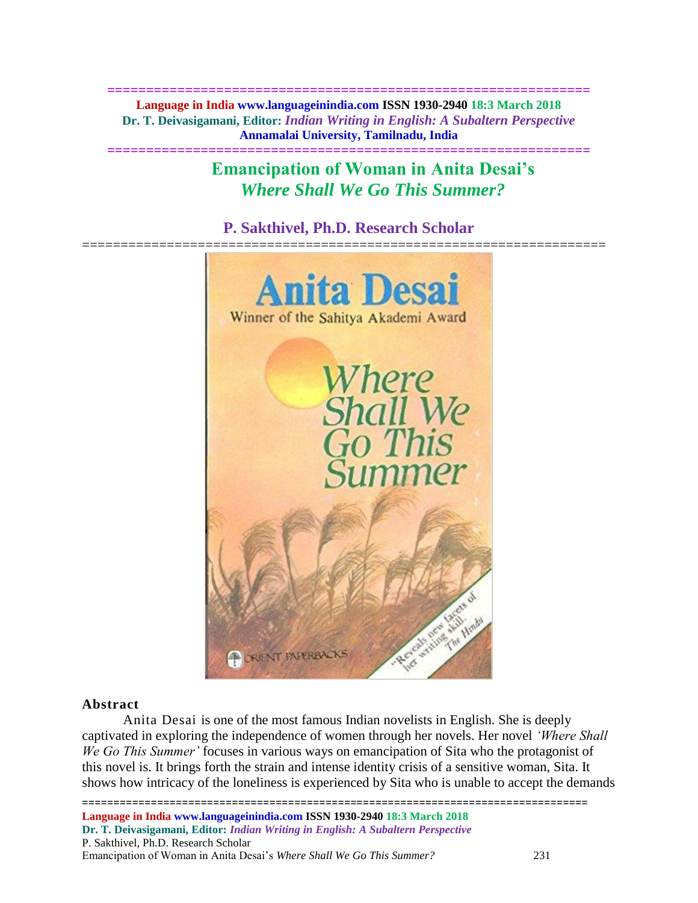**============================================================== Language in India www.languageinindia.com ISSN 1930-2940 18:3 March 2018 Dr. T. Deivasigamani, Editor:** *Indian Writing in English: A Subaltern Perspective* **Annamalai University, Tamilnadu, India**

**==============================================================**

**Emancipation of Woman in Anita Desai's**  *Where Shall We Go This Summer?*

**P. Sakthivel, Ph.D. Research Scholar**



## **Abstract**

Anita Desai is one of the most famous Indian novelists in English. She is deeply captivated in exploring the independence of women through her novels. Her novel *'Where Shall We Go This Summer'* focuses in various ways on emancipation of Sita who the protagonist of this novel is. It brings forth the strain and intense identity crisis of a sensitive woman, Sita. It shows how intricacy of the loneliness is experienced by Sita who is unable to accept the demands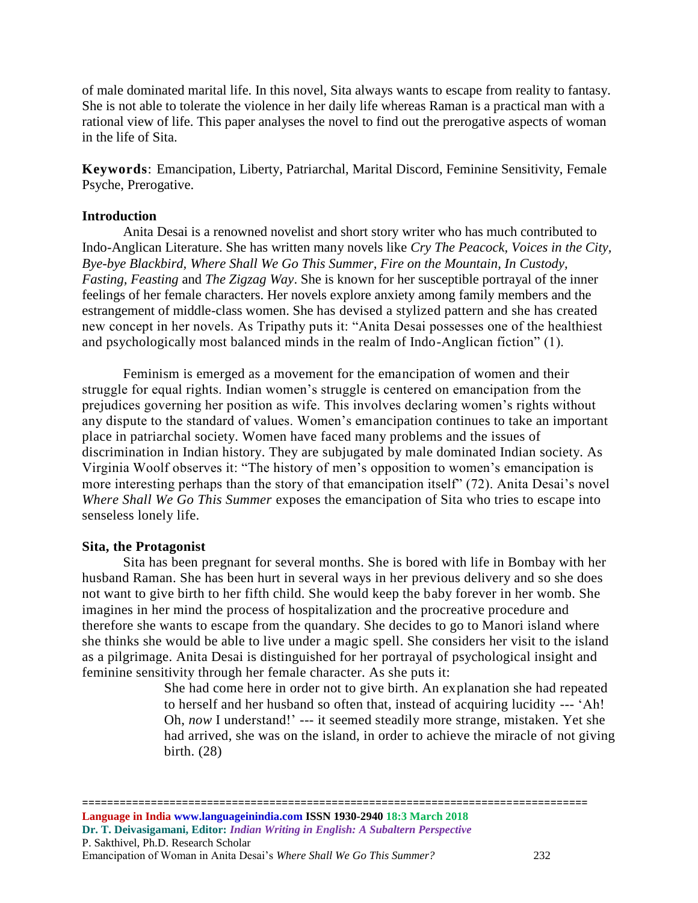of male dominated marital life. In this novel, Sita always wants to escape from reality to fantasy. She is not able to tolerate the violence in her daily life whereas Raman is a practical man with a rational view of life. This paper analyses the novel to find out the prerogative aspects of woman in the life of Sita.

**Keywords**: Emancipation, Liberty, Patriarchal, Marital Discord, Feminine Sensitivity, Female Psyche, Prerogative.

## **Introduction**

Anita Desai is a renowned novelist and short story writer who has much contributed to Indo-Anglican Literature. She has written many novels like *Cry The Peacock, Voices in the City, Bye-bye Blackbird, Where Shall We Go This Summer, Fire on the Mountain, In Custody, Fasting, Feasting* and *The Zigzag Way*. She is known for her susceptible portrayal of the inner feelings of her female characters. Her novels explore anxiety among family members and the estrangement of middle-class women. She has devised a stylized pattern and she has created new concept in her novels. As Tripathy puts it: "Anita Desai possesses one of the healthiest and psychologically most balanced minds in the realm of Indo-Anglican fiction" (1).

Feminism is emerged as a movement for the emancipation of women and their struggle for equal rights. Indian women's struggle is centered on emancipation from the prejudices governing her position as wife. This involves declaring women's rights without any dispute to the standard of values. Women's emancipation continues to take an important place in patriarchal society. Women have faced many problems and the issues of discrimination in Indian history. They are subjugated by male dominated Indian society. As Virginia Woolf observes it: "The history of men's opposition to women's emancipation is more interesting perhaps than the story of that emancipation itself" (72). Anita Desai's novel *Where Shall We Go This Summer* exposes the emancipation of Sita who tries to escape into senseless lonely life.

#### **Sita, the Protagonist**

Sita has been pregnant for several months. She is bored with life in Bombay with her husband Raman. She has been hurt in several ways in her previous delivery and so she does not want to give birth to her fifth child. She would keep the baby forever in her womb. She imagines in her mind the process of hospitalization and the procreative procedure and therefore she wants to escape from the quandary. She decides to go to Manori island where she thinks she would be able to live under a magic spell. She considers her visit to the island as a pilgrimage. Anita Desai is distinguished for her portrayal of psychological insight and feminine sensitivity through her female character. As she puts it:

> She had come here in order not to give birth. An explanation she had repeated to herself and her husband so often that, instead of acquiring lucidity --- 'Ah! Oh, *now* I understand!' --- it seemed steadily more strange, mistaken. Yet she had arrived, she was on the island, in order to achieve the miracle of not giving birth. (28)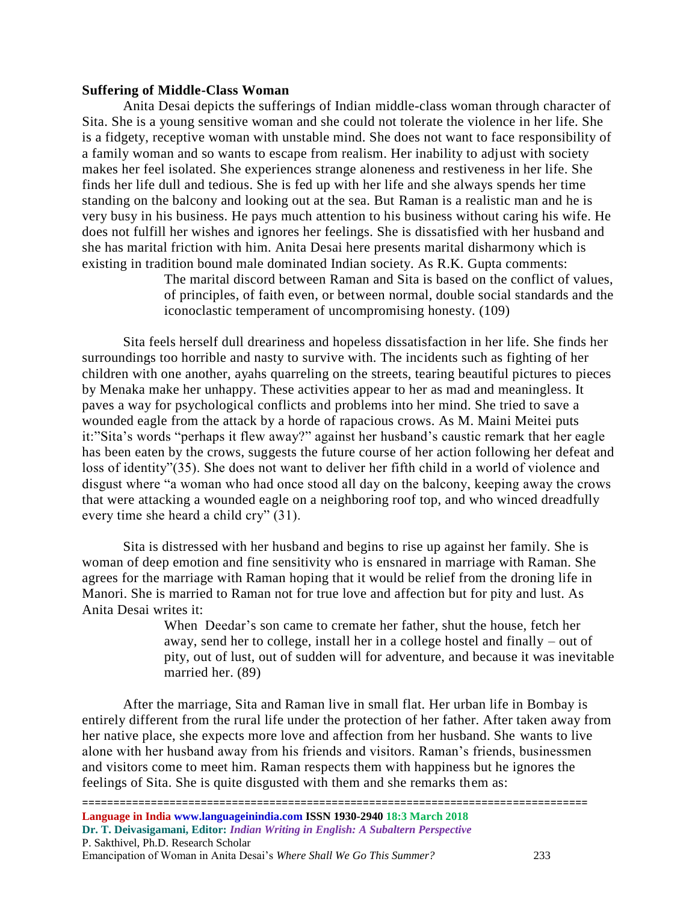## **Suffering of Middle-Class Woman**

Anita Desai depicts the sufferings of Indian middle-class woman through character of Sita. She is a young sensitive woman and she could not tolerate the violence in her life. She is a fidgety, receptive woman with unstable mind. She does not want to face responsibility of a family woman and so wants to escape from realism. Her inability to adjust with society makes her feel isolated. She experiences strange aloneness and restiveness in her life. She finds her life dull and tedious. She is fed up with her life and she always spends her time standing on the balcony and looking out at the sea. But Raman is a realistic man and he is very busy in his business. He pays much attention to his business without caring his wife. He does not fulfill her wishes and ignores her feelings. She is dissatisfied with her husband and she has marital friction with him. Anita Desai here presents marital disharmony which is existing in tradition bound male dominated Indian society. As R.K. Gupta comments:

> The marital discord between Raman and Sita is based on the conflict of values, of principles, of faith even, or between normal, double social standards and the iconoclastic temperament of uncompromising honesty. (109)

Sita feels herself dull dreariness and hopeless dissatisfaction in her life. She finds her surroundings too horrible and nasty to survive with. The incidents such as fighting of her children with one another, ayahs quarreling on the streets, tearing beautiful pictures to pieces by Menaka make her unhappy. These activities appear to her as mad and meaningless. It paves a way for psychological conflicts and problems into her mind. She tried to save a wounded eagle from the attack by a horde of rapacious crows. As M. Maini Meitei puts it:"Sita's words "perhaps it flew away?" against her husband's caustic remark that her eagle has been eaten by the crows, suggests the future course of her action following her defeat and loss of identity"(35). She does not want to deliver her fifth child in a world of violence and disgust where "a woman who had once stood all day on the balcony, keeping away the crows that were attacking a wounded eagle on a neighboring roof top, and who winced dreadfully every time she heard a child cry" (31).

Sita is distressed with her husband and begins to rise up against her family. She is woman of deep emotion and fine sensitivity who is ensnared in marriage with Raman. She agrees for the marriage with Raman hoping that it would be relief from the droning life in Manori. She is married to Raman not for true love and affection but for pity and lust. As Anita Desai writes it:

> When Deedar's son came to cremate her father, shut the house, fetch her away, send her to college, install her in a college hostel and finally – out of pity, out of lust, out of sudden will for adventure, and because it was inevitable married her. (89)

After the marriage, Sita and Raman live in small flat. Her urban life in Bombay is entirely different from the rural life under the protection of her father. After taken away from her native place, she expects more love and affection from her husband. She wants to live alone with her husband away from his friends and visitors. Raman's friends, businessmen and visitors come to meet him. Raman respects them with happiness but he ignores the feelings of Sita. She is quite disgusted with them and she remarks them as: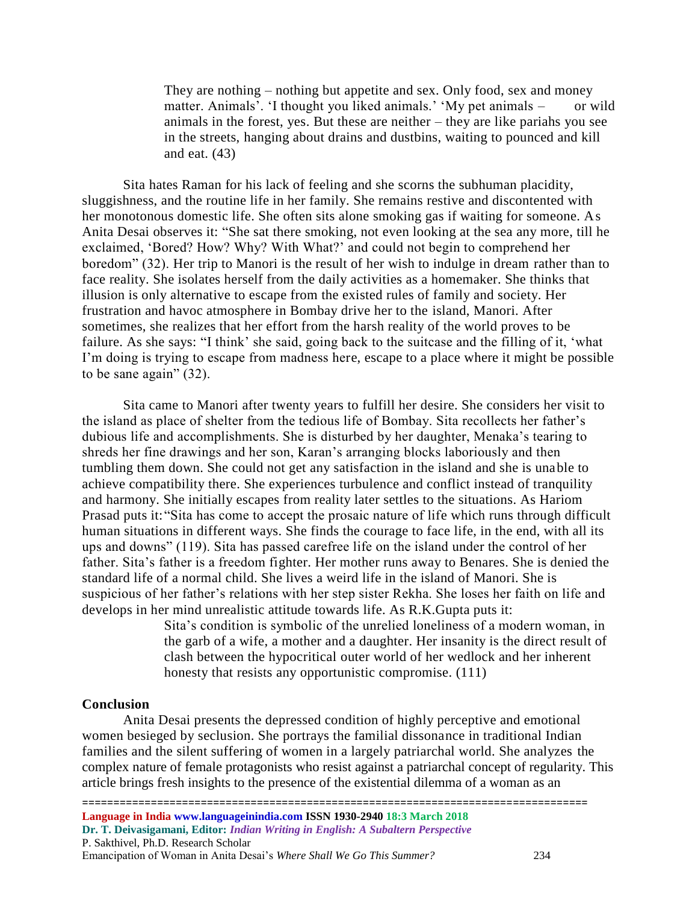They are nothing – nothing but appetite and sex. Only food, sex and money matter. Animals'. 'I thought you liked animals.' 'My pet animals – or wild animals in the forest, yes. But these are neither – they are like pariahs you see in the streets, hanging about drains and dustbins, waiting to pounced and kill and eat. (43)

Sita hates Raman for his lack of feeling and she scorns the subhuman placidity, sluggishness, and the routine life in her family. She remains restive and discontented with her monotonous domestic life. She often sits alone smoking gas if waiting for someone. As Anita Desai observes it: "She sat there smoking, not even looking at the sea any more, till he exclaimed, 'Bored? How? Why? With What?' and could not begin to comprehend her boredom" (32). Her trip to Manori is the result of her wish to indulge in dream rather than to face reality. She isolates herself from the daily activities as a homemaker. She thinks that illusion is only alternative to escape from the existed rules of family and society. Her frustration and havoc atmosphere in Bombay drive her to the island, Manori. After sometimes, she realizes that her effort from the harsh reality of the world proves to be failure. As she says: "I think' she said, going back to the suitcase and the filling of it, 'what I'm doing is trying to escape from madness here, escape to a place where it might be possible to be sane again" (32).

Sita came to Manori after twenty years to fulfill her desire. She considers her visit to the island as place of shelter from the tedious life of Bombay. Sita recollects her father's dubious life and accomplishments. She is disturbed by her daughter, Menaka's tearing to shreds her fine drawings and her son, Karan's arranging blocks laboriously and then tumbling them down. She could not get any satisfaction in the island and she is unable to achieve compatibility there. She experiences turbulence and conflict instead of tranquility and harmony. She initially escapes from reality later settles to the situations. As Hariom Prasad puts it:"Sita has come to accept the prosaic nature of life which runs through difficult human situations in different ways. She finds the courage to face life, in the end, with all its ups and downs" (119). Sita has passed carefree life on the island under the control of her father. Sita's father is a freedom fighter. Her mother runs away to Benares. She is denied the standard life of a normal child. She lives a weird life in the island of Manori. She is suspicious of her father's relations with her step sister Rekha. She loses her faith on life and develops in her mind unrealistic attitude towards life. As R.K.Gupta puts it:

> Sita's condition is symbolic of the unrelied loneliness of a modern woman, in the garb of a wife, a mother and a daughter. Her insanity is the direct result of clash between the hypocritical outer world of her wedlock and her inherent honesty that resists any opportunistic compromise. (111)

#### **Conclusion**

Anita Desai presents the depressed condition of highly perceptive and emotional women besieged by seclusion. She portrays the familial dissonance in traditional Indian families and the silent suffering of women in a largely patriarchal world. She analyzes the complex nature of female protagonists who resist against a patriarchal concept of regularity. This article brings fresh insights to the presence of the existential dilemma of a woman as an